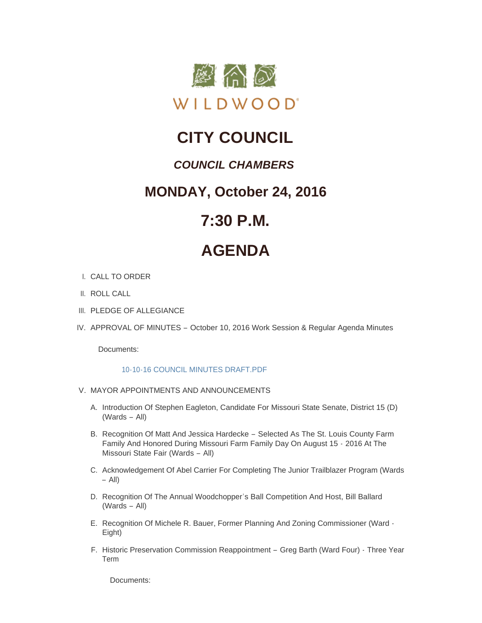

## **CITY COUNCIL**

### *COUNCIL CHAMBERS*

### **MONDAY, October 24, 2016**

## **7:30 P.M.**

# **AGENDA**

- CALL TO ORDER I.
- II. ROLL CALL
- III. PLEDGE OF ALLEGIANCE
- IV. APPROVAL OF MINUTES October 10, 2016 Work Session & Regular Agenda Minutes

Documents:

#### [10-10-16 COUNCIL MINUTES DRAFT.PDF](http://mo-wildwood.civicplus.com/AgendaCenter/ViewFile/Item/8493?fileID=12788)

- V. MAYOR APPOINTMENTS AND ANNOUNCEMENTS
	- A. Introduction Of Stephen Eagleton, Candidate For Missouri State Senate, District 15 (D) (Wards – All)
	- B. Recognition Of Matt And Jessica Hardecke Selected As The St. Louis County Farm Family And Honored During Missouri Farm Family Day On August 15 - 2016 At The Missouri State Fair (Wards – All)
	- C. Acknowledgement Of Abel Carrier For Completing The Junior Trailblazer Program (Wards – All)
	- D. Recognition Of The Annual Woodchopper's Ball Competition And Host, Bill Ballard (Wards – All)
	- E. Recognition Of Michele R. Bauer, Former Planning And Zoning Commissioner (Ward -Eight)
	- F. Historic Preservation Commission Reappointment Greg Barth (Ward Four) Three Year Term

Documents: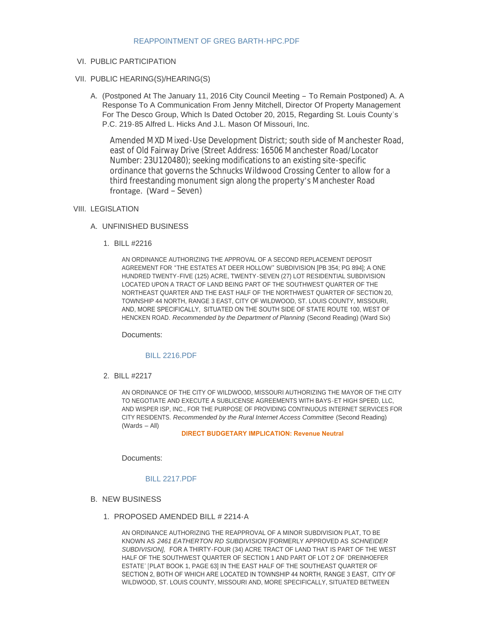#### [REAPPOINTMENT OF GREG BARTH-HPC.PDF](http://mo-wildwood.civicplus.com/AgendaCenter/ViewFile/Item/8500?fileID=12789)

#### VI. PUBLIC PARTICIPATION

#### PUBLIC HEARING(S)/HEARING(S) VII.

A. (Postponed At The January 11, 2016 City Council Meeting - To Remain Postponed) A. A Response To A Communication From Jenny Mitchell, Director Of Property Management For The Desco Group, Which Is Dated October 20, 2015, Regarding St. Louis County's P.C. 219-85 Alfred L. Hicks And J.L. Mason Of Missouri, Inc.

Amended MXD Mixed-Use Development District; south side of Manchester Road, east of Old Fairway Drive (Street Address: 16506 Manchester Road/Locator Number: 23U120480); seeking modifications to an existing site-specific ordinance that governs the Schnucks Wildwood Crossing Center to allow for a third freestanding monument sign along the property's Manchester Road frontage. (Ward – Seven)

#### VIII. LEGISLATION

#### UNFINISHED BUSINESS A.

BILL #2216 1.

AN ORDINANCE AUTHORIZING THE APPROVAL OF A SECOND REPLACEMENT DEPOSIT AGREEMENT FOR "THE ESTATES AT DEER HOLLOW" SUBDIVISION [PB 354; PG 894]; A ONE HUNDRED TWENTY-FIVE (125) ACRE, TWENTY-SEVEN (27) LOT RESIDENTIAL SUBDIVISION LOCATED UPON A TRACT OF LAND BEING PART OF THE SOUTHWEST QUARTER OF THE NORTHEAST QUARTER AND THE EAST HALF OF THE NORTHWEST QUARTER OF SECTION 20, TOWNSHIP 44 NORTH, RANGE 3 EAST, CITY OF WILDWOOD, ST. LOUIS COUNTY, MISSOURI, AND, MORE SPECIFICALLY, SITUATED ON THE SOUTH SIDE OF STATE ROUTE 100, WEST OF HENCKEN ROAD. *Recommended by the Department of Planning* (Second Reading) (Ward Six)

Documents:

#### [BILL 2216.PDF](http://mo-wildwood.civicplus.com/AgendaCenter/ViewFile/Item/8506?fileID=12790)

BILL #2217 2.

AN ORDINANCE OF THE CITY OF WILDWOOD, MISSOURI AUTHORIZING THE MAYOR OF THE CITY TO NEGOTIATE AND EXECUTE A SUBLICENSE AGREEMENTS WITH BAYS-ET HIGH SPEED, LLC, AND WISPER ISP, INC., FOR THE PURPOSE OF PROVIDING CONTINUOUS INTERNET SERVICES FOR CITY RESIDENTS. *Recommended by the Rural Internet Access Committee* (Second Reading) (Wards – All)

 **DIRECT BUDGETARY IMPLICATION: Revenue Neutral**

Documents:

#### [BILL 2217.PDF](http://mo-wildwood.civicplus.com/AgendaCenter/ViewFile/Item/8507?fileID=12791)

- **B. NEW BUSINESS** 
	- 1. PROPOSED AMENDED BILL # 2214-A

AN ORDINANCE AUTHORIZING THE REAPPROVAL OF A MINOR SUBDIVISION PLAT, TO BE KNOWN AS *2461 EATHERTON RD SUBDIVISION* [FORMERLY APPROVED AS *SCHNEIDER SUBDIVISION],* FOR A THIRTY-FOUR (34) ACRE TRACT OF LAND THAT IS PART OF THE WEST HALF OF THE SOUTHWEST QUARTER OF SECTION 1 AND PART OF LOT 2 OF 'DREINHOEFER ESTATE' [PLAT BOOK 1, PAGE 63] IN THE EAST HALF OF THE SOUTHEAST QUARTER OF SECTION 2, BOTH OF WHICH ARE LOCATED IN TOWNSHIP 44 NORTH, RANGE 3 EAST, CITY OF WILDWOOD, ST. LOUIS COUNTY, MISSOURI AND, MORE SPECIFICALLY, SITUATED BETWEEN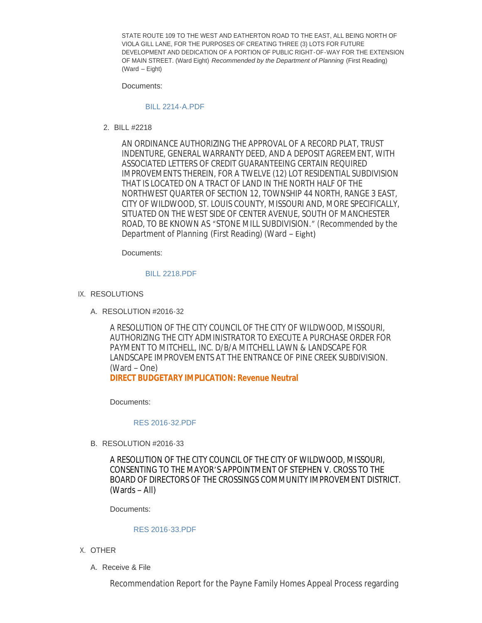STATE ROUTE 109 TO THE WEST AND EATHERTON ROAD TO THE EAST, ALL BEING NORTH OF VIOLA GILL LANE, FOR THE PURPOSES OF CREATING THREE (3) LOTS FOR FUTURE DEVELOPMENT AND DEDICATION OF A PORTION OF PUBLIC RIGHT-OF-WAY FOR THE EXTENSION OF MAIN STREET. (Ward Eight) *Recommended by the Department of Planning* (First Reading) (Ward – Eight)

Documents:

#### [BILL 2214-A.PDF](http://mo-wildwood.civicplus.com/AgendaCenter/ViewFile/Item/8509?fileID=12792)

BILL #2218 2.

AN ORDINANCE AUTHORIZING THE APPROVAL OF A RECORD PLAT, TRUST INDENTURE, GENERAL WARRANTY DEED, AND A DEPOSIT AGREEMENT, WITH ASSOCIATED LETTERS OF CREDIT GUARANTEEING CERTAIN REQUIRED IMPROVEMENTS THEREIN, FOR A TWELVE (12) LOT RESIDENTIAL SUBDIVISION THAT IS LOCATED ON A TRACT OF LAND IN THE NORTH HALF OF THE NORTHWEST QUARTER OF SECTION 12, TOWNSHIP 44 NORTH, RANGE 3 EAST, CITY OF WILDWOOD, ST. LOUIS COUNTY, MISSOURI AND, MORE SPECIFICALLY, SITUATED ON THE WEST SIDE OF CENTER AVENUE, SOUTH OF MANCHESTER ROAD, TO BE KNOWN AS "*STONE MILL SUBDIVISION.*" (*Recommended by the Department of Planning* (First Reading) (Ward – Eight)

Documents:

#### [BILL 2218.PDF](http://mo-wildwood.civicplus.com/AgendaCenter/ViewFile/Item/8510?fileID=12793)

- IX. RESOLUTIONS
	- A. RESOLUTION #2016-32

A RESOLUTION OF THE CITY COUNCIL OF THE CITY OF WILDWOOD, MISSOURI, AUTHORIZING THE CITY ADMINISTRATOR TO EXECUTE A PURCHASE ORDER FOR PAYMENT TO MITCHELL, INC. D/B/A MITCHELL LAWN & LANDSCAPE FOR LANDSCAPE IMPROVEMENTS AT THE ENTRANCE OF PINE CREEK SUBDIVISION. (Ward – One) **DIRECT BUDGETARY IMPLICATION: Revenue Neutral**

Documents:

#### [RES 2016-32.PDF](http://mo-wildwood.civicplus.com/AgendaCenter/ViewFile/Item/8512?fileID=12794)

B. RESOLUTION #2016-33

A RESOLUTION OF THE CITY COUNCIL OF THE CITY OF WILDWOOD, MISSOURI, CONSENTING TO THE MAYOR'S APPOINTMENT OF STEPHEN V. CROSS TO THE BOARD OF DIRECTORS OF THE CROSSINGS COMMUNITY IMPROVEMENT DISTRICT. (Wards – All)

Documents:

#### [RES 2016-33.PDF](http://mo-wildwood.civicplus.com/AgendaCenter/ViewFile/Item/8513?fileID=12795)

- X. OTHER
	- A. Receive & File

Recommendation Report for the Payne Family Homes Appeal Process regarding